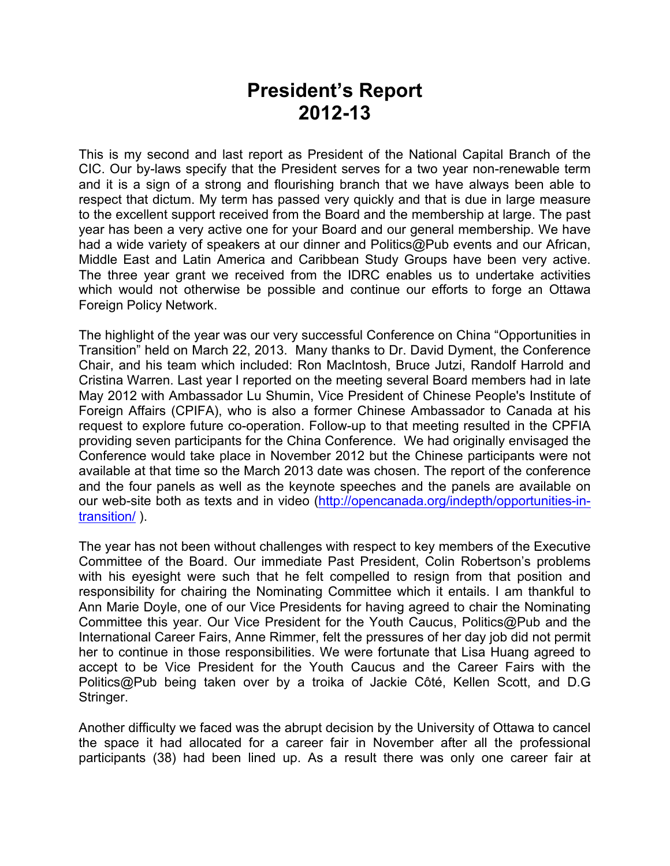# **President's Report 2012-13**

This is my second and last report as President of the National Capital Branch of the CIC. Our by-laws specify that the President serves for a two year non-renewable term and it is a sign of a strong and flourishing branch that we have always been able to respect that dictum. My term has passed very quickly and that is due in large measure to the excellent support received from the Board and the membership at large. The past year has been a very active one for your Board and our general membership. We have had a wide variety of speakers at our dinner and Politics@Pub events and our African, Middle East and Latin America and Caribbean Study Groups have been very active. The three year grant we received from the IDRC enables us to undertake activities which would not otherwise be possible and continue our efforts to forge an Ottawa Foreign Policy Network.

The highlight of the year was our very successful Conference on China "Opportunities in Transition" held on March 22, 2013. Many thanks to Dr. David Dyment, the Conference Chair, and his team which included: Ron MacIntosh, Bruce Jutzi, Randolf Harrold and Cristina Warren. Last year I reported on the meeting several Board members had in late May 2012 with Ambassador Lu Shumin, Vice President of Chinese People's Institute of Foreign Affairs (CPIFA), who is also a former Chinese Ambassador to Canada at his request to explore future co-operation. Follow-up to that meeting resulted in the CPFIA providing seven participants for the China Conference. We had originally envisaged the Conference would take place in November 2012 but the Chinese participants were not available at that time so the March 2013 date was chosen. The report of the conference and the four panels as well as the keynote speeches and the panels are available on our web-site both as texts and in video (http://opencanada.org/indepth/opportunities-intransition/ ).

The year has not been without challenges with respect to key members of the Executive Committee of the Board. Our immediate Past President, Colin Robertson's problems with his eyesight were such that he felt compelled to resign from that position and responsibility for chairing the Nominating Committee which it entails. I am thankful to Ann Marie Doyle, one of our Vice Presidents for having agreed to chair the Nominating Committee this year. Our Vice President for the Youth Caucus, Politics@Pub and the International Career Fairs, Anne Rimmer, felt the pressures of her day job did not permit her to continue in those responsibilities. We were fortunate that Lisa Huang agreed to accept to be Vice President for the Youth Caucus and the Career Fairs with the Politics@Pub being taken over by a troika of Jackie Côté, Kellen Scott, and D.G Stringer.

Another difficulty we faced was the abrupt decision by the University of Ottawa to cancel the space it had allocated for a career fair in November after all the professional participants (38) had been lined up. As a result there was only one career fair at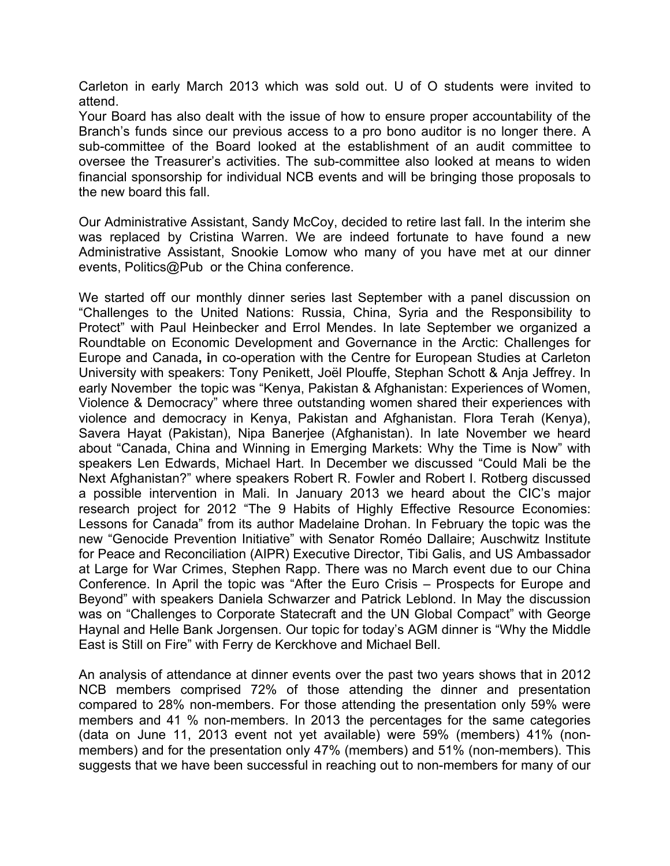Carleton in early March 2013 which was sold out. U of O students were invited to attend.

Your Board has also dealt with the issue of how to ensure proper accountability of the Branch's funds since our previous access to a pro bono auditor is no longer there. A sub-committee of the Board looked at the establishment of an audit committee to oversee the Treasurer's activities. The sub-committee also looked at means to widen financial sponsorship for individual NCB events and will be bringing those proposals to the new board this fall.

Our Administrative Assistant, Sandy McCoy, decided to retire last fall. In the interim she was replaced by Cristina Warren. We are indeed fortunate to have found a new Administrative Assistant, Snookie Lomow who many of you have met at our dinner events, Politics@Pub or the China conference.

We started off our monthly dinner series last September with a panel discussion on "Challenges to the United Nations: Russia, China, Syria and the Responsibility to Protect" with Paul Heinbecker and Errol Mendes. In late September we organized a Roundtable on Economic Development and Governance in the Arctic: Challenges for Europe and Canada**, i**n co-operation with the Centre for European Studies at Carleton University with speakers: Tony Penikett, Joël Plouffe, Stephan Schott & Anja Jeffrey. In early November the topic was "Kenya, Pakistan & Afghanistan: Experiences of Women, Violence & Democracy" where three outstanding women shared their experiences with violence and democracy in Kenya, Pakistan and Afghanistan. Flora Terah (Kenya), Savera Hayat (Pakistan), Nipa Banerjee (Afghanistan). In late November we heard about "Canada, China and Winning in Emerging Markets: Why the Time is Now" with speakers Len Edwards, Michael Hart. In December we discussed "Could Mali be the Next Afghanistan?" where speakers Robert R. Fowler and Robert I. Rotberg discussed a possible intervention in Mali. In January 2013 we heard about the CIC's major research project for 2012 "The 9 Habits of Highly Effective Resource Economies: Lessons for Canada" from its author Madelaine Drohan. In February the topic was the new "Genocide Prevention Initiative" with Senator Roméo Dallaire; Auschwitz Institute for Peace and Reconciliation (AIPR) Executive Director, Tibi Galis, and US Ambassador at Large for War Crimes, Stephen Rapp. There was no March event due to our China Conference. In April the topic was "After the Euro Crisis – Prospects for Europe and Beyond" with speakers Daniela Schwarzer and Patrick Leblond. In May the discussion was on "Challenges to Corporate Statecraft and the UN Global Compact" with George Haynal and Helle Bank Jorgensen. Our topic for today's AGM dinner is "Why the Middle East is Still on Fire" with Ferry de Kerckhove and Michael Bell.

An analysis of attendance at dinner events over the past two years shows that in 2012 NCB members comprised 72% of those attending the dinner and presentation compared to 28% non-members. For those attending the presentation only 59% were members and 41 % non-members. In 2013 the percentages for the same categories (data on June 11, 2013 event not yet available) were 59% (members) 41% (nonmembers) and for the presentation only 47% (members) and 51% (non-members). This suggests that we have been successful in reaching out to non-members for many of our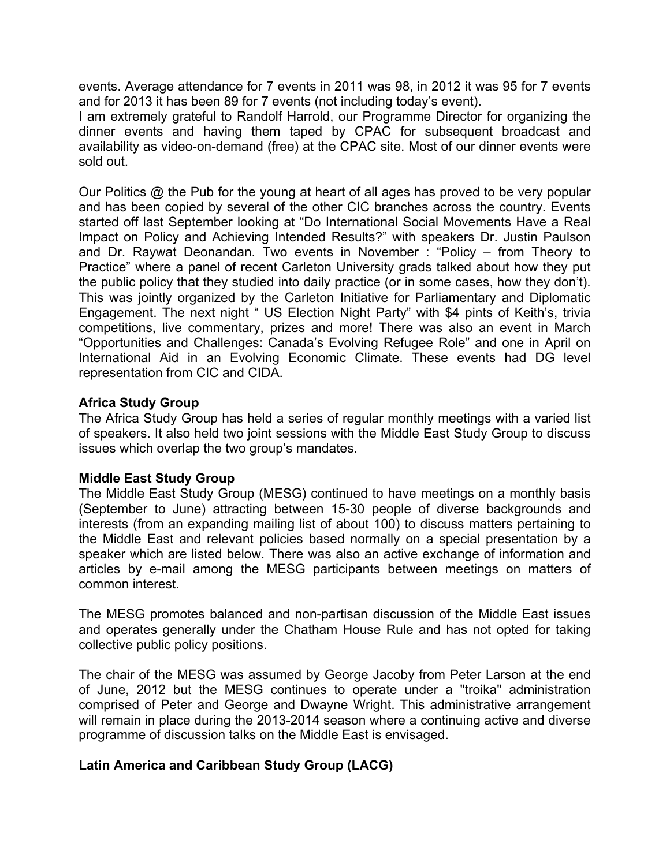events. Average attendance for 7 events in 2011 was 98, in 2012 it was 95 for 7 events and for 2013 it has been 89 for 7 events (not including today's event).

I am extremely grateful to Randolf Harrold, our Programme Director for organizing the dinner events and having them taped by CPAC for subsequent broadcast and availability as video-on-demand (free) at the CPAC site. Most of our dinner events were sold out.

Our Politics @ the Pub for the young at heart of all ages has proved to be very popular and has been copied by several of the other CIC branches across the country. Events started off last September looking at "Do International Social Movements Have a Real Impact on Policy and Achieving Intended Results?" with speakers Dr. Justin Paulson and Dr. Raywat Deonandan. Two events in November : "Policy – from Theory to Practice" where a panel of recent Carleton University grads talked about how they put the public policy that they studied into daily practice (or in some cases, how they don't). This was jointly organized by the Carleton Initiative for Parliamentary and Diplomatic Engagement. The next night " US Election Night Party" with \$4 pints of Keith's, trivia competitions, live commentary, prizes and more! There was also an event in March "Opportunities and Challenges: Canada's Evolving Refugee Role" and one in April on International Aid in an Evolving Economic Climate. These events had DG level representation from CIC and CIDA.

## **Africa Study Group**

The Africa Study Group has held a series of regular monthly meetings with a varied list of speakers. It also held two joint sessions with the Middle East Study Group to discuss issues which overlap the two group's mandates.

### **Middle East Study Group**

The Middle East Study Group (MESG) continued to have meetings on a monthly basis (September to June) attracting between 15-30 people of diverse backgrounds and interests (from an expanding mailing list of about 100) to discuss matters pertaining to the Middle East and relevant policies based normally on a special presentation by a speaker which are listed below. There was also an active exchange of information and articles by e-mail among the MESG participants between meetings on matters of common interest.

The MESG promotes balanced and non-partisan discussion of the Middle East issues and operates generally under the Chatham House Rule and has not opted for taking collective public policy positions.

The chair of the MESG was assumed by George Jacoby from Peter Larson at the end of June, 2012 but the MESG continues to operate under a "troika" administration comprised of Peter and George and Dwayne Wright. This administrative arrangement will remain in place during the 2013-2014 season where a continuing active and diverse programme of discussion talks on the Middle East is envisaged.

## **Latin America and Caribbean Study Group (LACG)**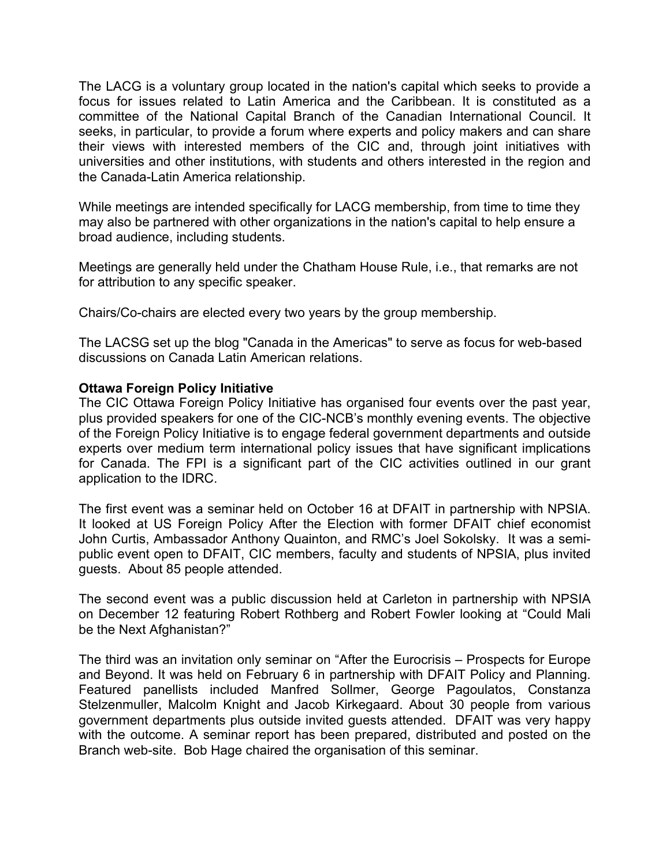The LACG is a voluntary group located in the nation's capital which seeks to provide a focus for issues related to Latin America and the Caribbean. It is constituted as a committee of the National Capital Branch of the Canadian International Council. It seeks, in particular, to provide a forum where experts and policy makers and can share their views with interested members of the CIC and, through joint initiatives with universities and other institutions, with students and others interested in the region and the Canada-Latin America relationship.

While meetings are intended specifically for LACG membership, from time to time they may also be partnered with other organizations in the nation's capital to help ensure a broad audience, including students.

Meetings are generally held under the Chatham House Rule, i.e., that remarks are not for attribution to any specific speaker.

Chairs/Co-chairs are elected every two years by the group membership.

The LACSG set up the blog "Canada in the Americas" to serve as focus for web-based discussions on Canada Latin American relations.

## **Ottawa Foreign Policy Initiative**

The CIC Ottawa Foreign Policy Initiative has organised four events over the past year, plus provided speakers for one of the CIC-NCB's monthly evening events. The objective of the Foreign Policy Initiative is to engage federal government departments and outside experts over medium term international policy issues that have significant implications for Canada. The FPI is a significant part of the CIC activities outlined in our grant application to the IDRC.

The first event was a seminar held on October 16 at DFAIT in partnership with NPSIA. It looked at US Foreign Policy After the Election with former DFAIT chief economist John Curtis, Ambassador Anthony Quainton, and RMC's Joel Sokolsky. It was a semipublic event open to DFAIT, CIC members, faculty and students of NPSIA, plus invited guests. About 85 people attended.

The second event was a public discussion held at Carleton in partnership with NPSIA on December 12 featuring Robert Rothberg and Robert Fowler looking at "Could Mali be the Next Afghanistan?"

The third was an invitation only seminar on "After the Eurocrisis – Prospects for Europe and Beyond. It was held on February 6 in partnership with DFAIT Policy and Planning. Featured panellists included Manfred Sollmer, George Pagoulatos, Constanza Stelzenmuller, Malcolm Knight and Jacob Kirkegaard. About 30 people from various government departments plus outside invited guests attended. DFAIT was very happy with the outcome. A seminar report has been prepared, distributed and posted on the Branch web-site. Bob Hage chaired the organisation of this seminar.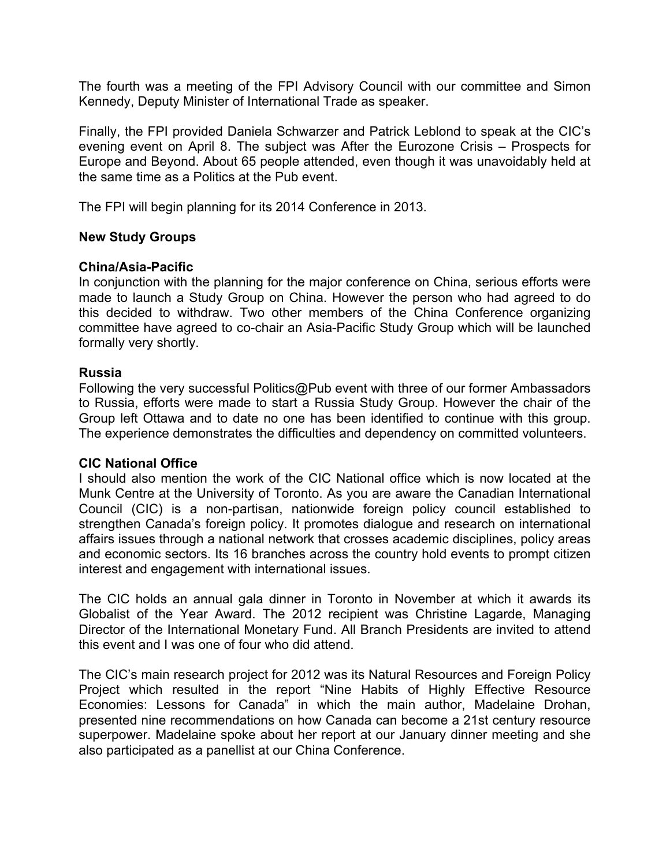The fourth was a meeting of the FPI Advisory Council with our committee and Simon Kennedy, Deputy Minister of International Trade as speaker.

Finally, the FPI provided Daniela Schwarzer and Patrick Leblond to speak at the CIC's evening event on April 8. The subject was After the Eurozone Crisis – Prospects for Europe and Beyond. About 65 people attended, even though it was unavoidably held at the same time as a Politics at the Pub event.

The FPI will begin planning for its 2014 Conference in 2013.

## **New Study Groups**

### **China/Asia-Pacific**

In conjunction with the planning for the major conference on China, serious efforts were made to launch a Study Group on China. However the person who had agreed to do this decided to withdraw. Two other members of the China Conference organizing committee have agreed to co-chair an Asia-Pacific Study Group which will be launched formally very shortly.

### **Russia**

Following the very successful Politics@Pub event with three of our former Ambassadors to Russia, efforts were made to start a Russia Study Group. However the chair of the Group left Ottawa and to date no one has been identified to continue with this group. The experience demonstrates the difficulties and dependency on committed volunteers.

### **CIC National Office**

I should also mention the work of the CIC National office which is now located at the Munk Centre at the University of Toronto. As you are aware the Canadian International Council (CIC) is a non-partisan, nationwide foreign policy council established to strengthen Canada's foreign policy. It promotes dialogue and research on international affairs issues through a national network that crosses academic disciplines, policy areas and economic sectors. Its 16 branches across the country hold events to prompt citizen interest and engagement with international issues.

The CIC holds an annual gala dinner in Toronto in November at which it awards its Globalist of the Year Award. The 2012 recipient was Christine Lagarde, Managing Director of the International Monetary Fund. All Branch Presidents are invited to attend this event and I was one of four who did attend.

The CIC's main research project for 2012 was its Natural Resources and Foreign Policy Project which resulted in the report "Nine Habits of Highly Effective Resource Economies: Lessons for Canada" in which the main author, Madelaine Drohan, presented nine recommendations on how Canada can become a 21st century resource superpower. Madelaine spoke about her report at our January dinner meeting and she also participated as a panellist at our China Conference.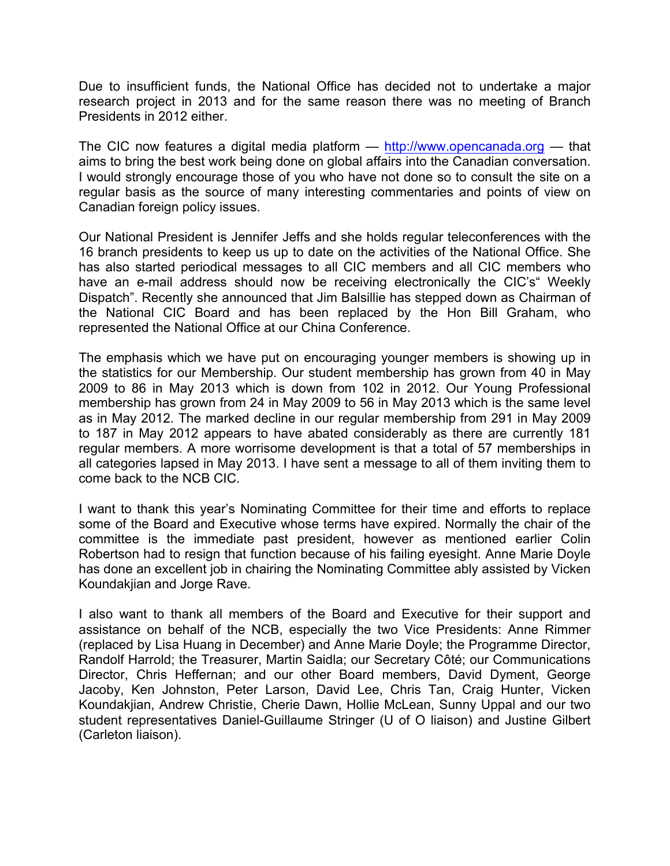Due to insufficient funds, the National Office has decided not to undertake a major research project in 2013 and for the same reason there was no meeting of Branch Presidents in 2012 either.

The CIC now features a digital media platform  $-$  http://www.opencanada.org  $-$  that aims to bring the best work being done on global affairs into the Canadian conversation. I would strongly encourage those of you who have not done so to consult the site on a regular basis as the source of many interesting commentaries and points of view on Canadian foreign policy issues.

Our National President is Jennifer Jeffs and she holds regular teleconferences with the 16 branch presidents to keep us up to date on the activities of the National Office. She has also started periodical messages to all CIC members and all CIC members who have an e-mail address should now be receiving electronically the CIC's" Weekly Dispatch". Recently she announced that Jim Balsillie has stepped down as Chairman of the National CIC Board and has been replaced by the Hon Bill Graham, who represented the National Office at our China Conference.

The emphasis which we have put on encouraging younger members is showing up in the statistics for our Membership. Our student membership has grown from 40 in May 2009 to 86 in May 2013 which is down from 102 in 2012. Our Young Professional membership has grown from 24 in May 2009 to 56 in May 2013 which is the same level as in May 2012. The marked decline in our regular membership from 291 in May 2009 to 187 in May 2012 appears to have abated considerably as there are currently 181 regular members. A more worrisome development is that a total of 57 memberships in all categories lapsed in May 2013. I have sent a message to all of them inviting them to come back to the NCB CIC.

I want to thank this year's Nominating Committee for their time and efforts to replace some of the Board and Executive whose terms have expired. Normally the chair of the committee is the immediate past president, however as mentioned earlier Colin Robertson had to resign that function because of his failing eyesight. Anne Marie Doyle has done an excellent job in chairing the Nominating Committee ably assisted by Vicken Koundakjian and Jorge Rave.

I also want to thank all members of the Board and Executive for their support and assistance on behalf of the NCB, especially the two Vice Presidents: Anne Rimmer (replaced by Lisa Huang in December) and Anne Marie Doyle; the Programme Director, Randolf Harrold; the Treasurer, Martin Saidla; our Secretary Côté; our Communications Director, Chris Heffernan; and our other Board members, David Dyment, George Jacoby, Ken Johnston, Peter Larson, David Lee, Chris Tan, Craig Hunter, Vicken Koundakjian, Andrew Christie, Cherie Dawn, Hollie McLean, Sunny Uppal and our two student representatives Daniel-Guillaume Stringer (U of O liaison) and Justine Gilbert (Carleton liaison).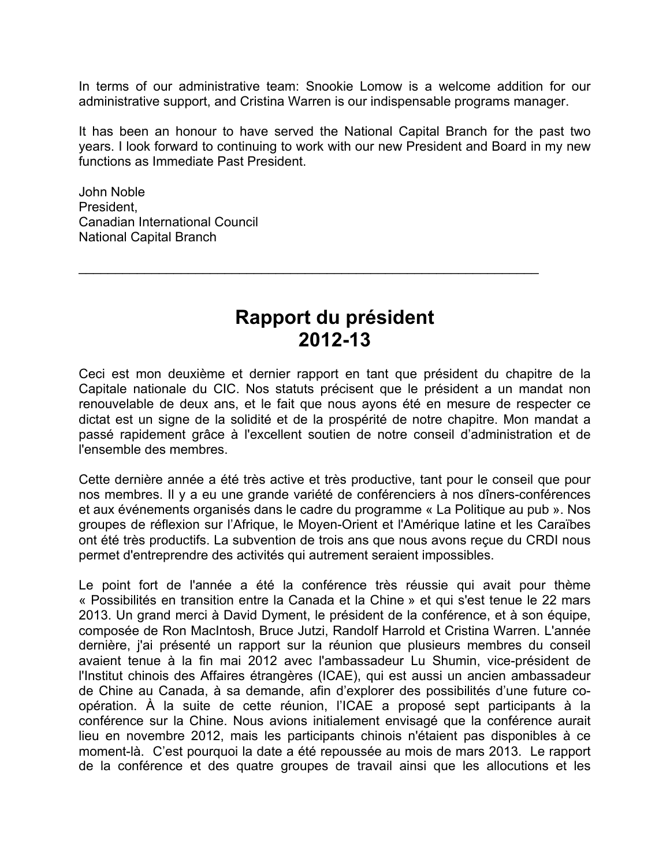In terms of our administrative team: Snookie Lomow is a welcome addition for our administrative support, and Cristina Warren is our indispensable programs manager.

It has been an honour to have served the National Capital Branch for the past two years. I look forward to continuing to work with our new President and Board in my new functions as Immediate Past President.

John Noble President, Canadian International Council National Capital Branch

# **Rapport du président 2012-13**

 $\mathcal{L}_\text{max}$  and  $\mathcal{L}_\text{max}$  and  $\mathcal{L}_\text{max}$  and  $\mathcal{L}_\text{max}$  and  $\mathcal{L}_\text{max}$  and  $\mathcal{L}_\text{max}$ 

Ceci est mon deuxième et dernier rapport en tant que président du chapitre de la Capitale nationale du CIC. Nos statuts précisent que le président a un mandat non renouvelable de deux ans, et le fait que nous ayons été en mesure de respecter ce dictat est un signe de la solidité et de la prospérité de notre chapitre. Mon mandat a passé rapidement grâce à l'excellent soutien de notre conseil d'administration et de l'ensemble des membres.

Cette dernière année a été très active et très productive, tant pour le conseil que pour nos membres. Il y a eu une grande variété de conférenciers à nos dîners-conférences et aux événements organisés dans le cadre du programme « La Politique au pub ». Nos groupes de réflexion sur l'Afrique, le Moyen-Orient et l'Amérique latine et les Caraïbes ont été très productifs. La subvention de trois ans que nous avons reçue du CRDI nous permet d'entreprendre des activités qui autrement seraient impossibles.

Le point fort de l'année a été la conférence très réussie qui avait pour thème « Possibilités en transition entre la Canada et la Chine » et qui s'est tenue le 22 mars 2013. Un grand merci à David Dyment, le président de la conférence, et à son équipe, composée de Ron MacIntosh, Bruce Jutzi, Randolf Harrold et Cristina Warren. L'année dernière, j'ai présenté un rapport sur la réunion que plusieurs membres du conseil avaient tenue à la fin mai 2012 avec l'ambassadeur Lu Shumin, vice-président de l'Institut chinois des Affaires étrangères (ICAE), qui est aussi un ancien ambassadeur de Chine au Canada, à sa demande, afin d'explorer des possibilités d'une future coopération. À la suite de cette réunion, l'ICAE a proposé sept participants à la conférence sur la Chine. Nous avions initialement envisagé que la conférence aurait lieu en novembre 2012, mais les participants chinois n'étaient pas disponibles à ce moment-là. C'est pourquoi la date a été repoussée au mois de mars 2013. Le rapport de la conférence et des quatre groupes de travail ainsi que les allocutions et les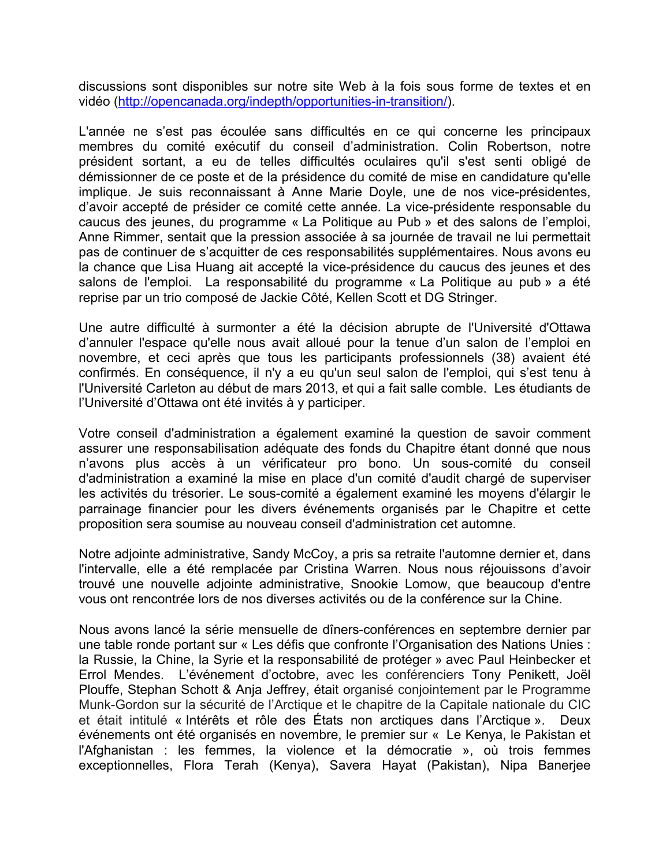discussions sont disponibles sur notre site Web à la fois sous forme de textes et en vidéo (http://opencanada.org/indepth/opportunities-in-transition/).

L'année ne s'est pas écoulée sans difficultés en ce qui concerne les principaux membres du comité exécutif du conseil d'administration. Colin Robertson, notre président sortant, a eu de telles difficultés oculaires qu'il s'est senti obligé de démissionner de ce poste et de la présidence du comité de mise en candidature qu'elle implique. Je suis reconnaissant à Anne Marie Doyle, une de nos vice-présidentes, d'avoir accepté de présider ce comité cette année. La vice-présidente responsable du caucus des jeunes, du programme « La Politique au Pub » et des salons de l'emploi, Anne Rimmer, sentait que la pression associée à sa journée de travail ne lui permettait pas de continuer de s'acquitter de ces responsabilités supplémentaires. Nous avons eu la chance que Lisa Huang ait accepté la vice-présidence du caucus des jeunes et des salons de l'emploi. La responsabilité du programme « La Politique au pub » a été reprise par un trio composé de Jackie Côté, Kellen Scott et DG Stringer.

Une autre difficulté à surmonter a été la décision abrupte de l'Université d'Ottawa d'annuler l'espace qu'elle nous avait alloué pour la tenue d'un salon de l'emploi en novembre, et ceci après que tous les participants professionnels (38) avaient été confirmés. En conséquence, il n'y a eu qu'un seul salon de l'emploi, qui s'est tenu à l'Université Carleton au début de mars 2013, et qui a fait salle comble. Les étudiants de l'Université d'Ottawa ont été invités à y participer.

Votre conseil d'administration a également examiné la question de savoir comment assurer une responsabilisation adéquate des fonds du Chapitre étant donné que nous n'avons plus accès à un vérificateur pro bono. Un sous-comité du conseil d'administration a examiné la mise en place d'un comité d'audit chargé de superviser les activités du trésorier. Le sous-comité a également examiné les moyens d'élargir le parrainage financier pour les divers événements organisés par le Chapitre et cette proposition sera soumise au nouveau conseil d'administration cet automne.

Notre adjointe administrative, Sandy McCoy, a pris sa retraite l'automne dernier et, dans l'intervalle, elle a été remplacée par Cristina Warren. Nous nous réjouissons d'avoir trouvé une nouvelle adjointe administrative, Snookie Lomow, que beaucoup d'entre vous ont rencontrée lors de nos diverses activités ou de la conférence sur la Chine.

Nous avons lancé la série mensuelle de dîners-conférences en septembre dernier par une table ronde portant sur « Les défis que confronte l'Organisation des Nations Unies : la Russie, la Chine, la Syrie et la responsabilité de protéger » avec Paul Heinbecker et Errol Mendes. L'événement d'octobre, avec les conférenciers Tony Penikett, Joël Plouffe, Stephan Schott & Anja Jeffrey, était organisé conjointement par le Programme Munk-Gordon sur la sécurité de l'Arctique et le chapitre de la Capitale nationale du CIC et était intitulé « Intérêts et rôle des États non arctiques dans l'Arctique ». Deux événements ont été organisés en novembre, le premier sur « Le Kenya, le Pakistan et l'Afghanistan : les femmes, la violence et la démocratie », où trois femmes exceptionnelles, Flora Terah (Kenya), Savera Hayat (Pakistan), Nipa Banerjee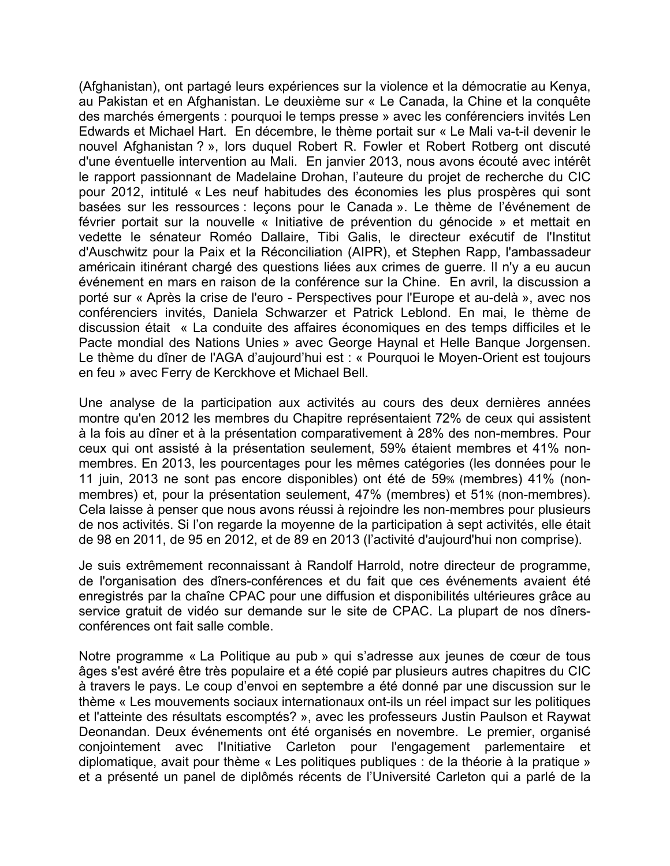(Afghanistan), ont partagé leurs expériences sur la violence et la démocratie au Kenya, au Pakistan et en Afghanistan. Le deuxième sur « Le Canada, la Chine et la conquête des marchés émergents : pourquoi le temps presse » avec les conférenciers invités Len Edwards et Michael Hart. En décembre, le thème portait sur « Le Mali va-t-il devenir le nouvel Afghanistan ? », lors duquel Robert R. Fowler et Robert Rotberg ont discuté d'une éventuelle intervention au Mali. En janvier 2013, nous avons écouté avec intérêt le rapport passionnant de Madelaine Drohan, l'auteure du projet de recherche du CIC pour 2012, intitulé « Les neuf habitudes des économies les plus prospères qui sont basées sur les ressources : leçons pour le Canada ». Le thème de l'événement de février portait sur la nouvelle « Initiative de prévention du génocide » et mettait en vedette le sénateur Roméo Dallaire, Tibi Galis, le directeur exécutif de l'Institut d'Auschwitz pour la Paix et la Réconciliation (AIPR), et Stephen Rapp, l'ambassadeur américain itinérant chargé des questions liées aux crimes de guerre. Il n'y a eu aucun événement en mars en raison de la conférence sur la Chine. En avril, la discussion a porté sur « Après la crise de l'euro - Perspectives pour l'Europe et au-delà », avec nos conférenciers invités, Daniela Schwarzer et Patrick Leblond. En mai, le thème de discussion était « La conduite des affaires économiques en des temps difficiles et le Pacte mondial des Nations Unies » avec George Haynal et Helle Banque Jorgensen. Le thème du dîner de l'AGA d'aujourd'hui est : « Pourquoi le Moyen-Orient est toujours en feu » avec Ferry de Kerckhove et Michael Bell.

Une analyse de la participation aux activités au cours des deux dernières années montre qu'en 2012 les membres du Chapitre représentaient 72% de ceux qui assistent à la fois au dîner et à la présentation comparativement à 28% des non-membres. Pour ceux qui ont assisté à la présentation seulement, 59% étaient membres et 41% nonmembres. En 2013, les pourcentages pour les mêmes catégories (les données pour le 11 juin, 2013 ne sont pas encore disponibles) ont été de 59% (membres) 41% (nonmembres) et, pour la présentation seulement, 47% (membres) et 51% (non-membres). Cela laisse à penser que nous avons réussi à rejoindre les non-membres pour plusieurs de nos activités. Si l'on regarde la moyenne de la participation à sept activités, elle était de 98 en 2011, de 95 en 2012, et de 89 en 2013 (l'activité d'aujourd'hui non comprise).

Je suis extrêmement reconnaissant à Randolf Harrold, notre directeur de programme, de l'organisation des dîners-conférences et du fait que ces événements avaient été enregistrés par la chaîne CPAC pour une diffusion et disponibilités ultérieures grâce au service gratuit de vidéo sur demande sur le site de CPAC. La plupart de nos dînersconférences ont fait salle comble.

Notre programme « La Politique au pub » qui s'adresse aux jeunes de cœur de tous âges s'est avéré être très populaire et a été copié par plusieurs autres chapitres du CIC à travers le pays. Le coup d'envoi en septembre a été donné par une discussion sur le thème « Les mouvements sociaux internationaux ont-ils un réel impact sur les politiques et l'atteinte des résultats escomptés? », avec les professeurs Justin Paulson et Raywat Deonandan. Deux événements ont été organisés en novembre. Le premier, organisé conjointement avec l'Initiative Carleton pour l'engagement parlementaire et diplomatique, avait pour thème « Les politiques publiques : de la théorie à la pratique » et a présenté un panel de diplômés récents de l'Université Carleton qui a parlé de la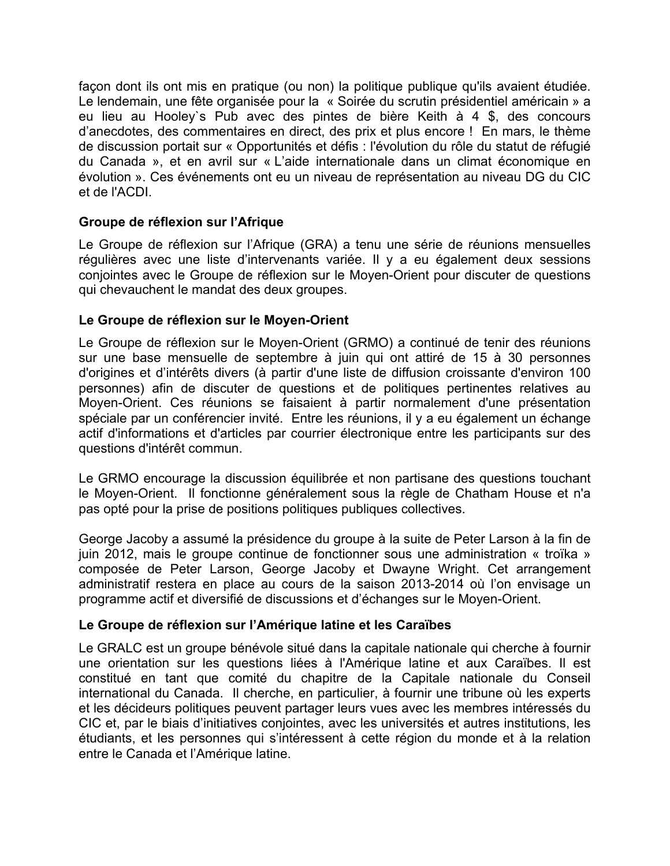façon dont ils ont mis en pratique (ou non) la politique publique qu'ils avaient étudiée. Le lendemain, une fête organisée pour la « Soirée du scrutin présidentiel américain » a eu lieu au Hooley`s Pub avec des pintes de bière Keith à 4 \$, des concours d'anecdotes, des commentaires en direct, des prix et plus encore ! En mars, le thème de discussion portait sur « Opportunités et défis : l'évolution du rôle du statut de réfugié du Canada », et en avril sur « L'aide internationale dans un climat économique en évolution ». Ces événements ont eu un niveau de représentation au niveau DG du CIC et de l'ACDI.

# **Groupe de réflexion sur l'Afrique**

Le Groupe de réflexion sur l'Afrique (GRA) a tenu une série de réunions mensuelles régulières avec une liste d'intervenants variée. Il y a eu également deux sessions conjointes avec le Groupe de réflexion sur le Moyen-Orient pour discuter de questions qui chevauchent le mandat des deux groupes.

# **Le Groupe de réflexion sur le Moyen-Orient**

Le Groupe de réflexion sur le Moyen-Orient (GRMO) a continué de tenir des réunions sur une base mensuelle de septembre à juin qui ont attiré de 15 à 30 personnes d'origines et d'intérêts divers (à partir d'une liste de diffusion croissante d'environ 100 personnes) afin de discuter de questions et de politiques pertinentes relatives au Moyen-Orient. Ces réunions se faisaient à partir normalement d'une présentation spéciale par un conférencier invité. Entre les réunions, il y a eu également un échange actif d'informations et d'articles par courrier électronique entre les participants sur des questions d'intérêt commun.

Le GRMO encourage la discussion équilibrée et non partisane des questions touchant le Moyen-Orient. Il fonctionne généralement sous la règle de Chatham House et n'a pas opté pour la prise de positions politiques publiques collectives.

George Jacoby a assumé la présidence du groupe à la suite de Peter Larson à la fin de juin 2012, mais le groupe continue de fonctionner sous une administration « troïka » composée de Peter Larson, George Jacoby et Dwayne Wright. Cet arrangement administratif restera en place au cours de la saison 2013-2014 où l'on envisage un programme actif et diversifié de discussions et d'échanges sur le Moyen-Orient.

## **Le Groupe de réflexion sur l'Amérique latine et les Caraïbes**

Le GRALC est un groupe bénévole situé dans la capitale nationale qui cherche à fournir une orientation sur les questions liées à l'Amérique latine et aux Caraïbes. Il est constitué en tant que comité du chapitre de la Capitale nationale du Conseil international du Canada. Il cherche, en particulier, à fournir une tribune où les experts et les décideurs politiques peuvent partager leurs vues avec les membres intéressés du CIC et, par le biais d'initiatives conjointes, avec les universités et autres institutions, les étudiants, et les personnes qui s'intéressent à cette région du monde et à la relation entre le Canada et l'Amérique latine.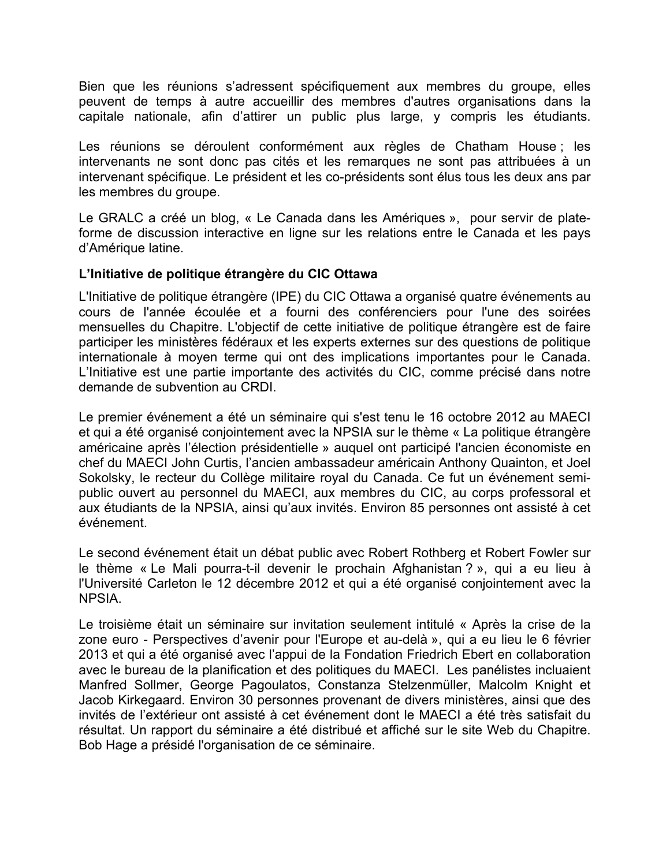Bien que les réunions s'adressent spécifiquement aux membres du groupe, elles peuvent de temps à autre accueillir des membres d'autres organisations dans la capitale nationale, afin d'attirer un public plus large, y compris les étudiants.

Les réunions se déroulent conformément aux règles de Chatham House ; les intervenants ne sont donc pas cités et les remarques ne sont pas attribuées à un intervenant spécifique. Le président et les co-présidents sont élus tous les deux ans par les membres du groupe.

Le GRALC a créé un blog, « Le Canada dans les Amériques », pour servir de plateforme de discussion interactive en ligne sur les relations entre le Canada et les pays d'Amérique latine.

# **L'Initiative de politique étrangère du CIC Ottawa**

L'Initiative de politique étrangère (IPE) du CIC Ottawa a organisé quatre événements au cours de l'année écoulée et a fourni des conférenciers pour l'une des soirées mensuelles du Chapitre. L'objectif de cette initiative de politique étrangère est de faire participer les ministères fédéraux et les experts externes sur des questions de politique internationale à moyen terme qui ont des implications importantes pour le Canada. L'Initiative est une partie importante des activités du CIC, comme précisé dans notre demande de subvention au CRDI.

Le premier événement a été un séminaire qui s'est tenu le 16 octobre 2012 au MAECI et qui a été organisé conjointement avec la NPSIA sur le thème « La politique étrangère américaine après l'élection présidentielle » auquel ont participé l'ancien économiste en chef du MAECI John Curtis, l'ancien ambassadeur américain Anthony Quainton, et Joel Sokolsky, le recteur du Collège militaire royal du Canada. Ce fut un événement semipublic ouvert au personnel du MAECI, aux membres du CIC, au corps professoral et aux étudiants de la NPSIA, ainsi qu'aux invités. Environ 85 personnes ont assisté à cet événement.

Le second événement était un débat public avec Robert Rothberg et Robert Fowler sur le thème « Le Mali pourra-t-il devenir le prochain Afghanistan ? », qui a eu lieu à l'Université Carleton le 12 décembre 2012 et qui a été organisé conjointement avec la **NPSIA** 

Le troisième était un séminaire sur invitation seulement intitulé « Après la crise de la zone euro - Perspectives d'avenir pour l'Europe et au-delà », qui a eu lieu le 6 février 2013 et qui a été organisé avec l'appui de la Fondation Friedrich Ebert en collaboration avec le bureau de la planification et des politiques du MAECI. Les panélistes incluaient Manfred Sollmer, George Pagoulatos, Constanza Stelzenmüller, Malcolm Knight et Jacob Kirkegaard. Environ 30 personnes provenant de divers ministères, ainsi que des invités de l'extérieur ont assisté à cet événement dont le MAECI a été très satisfait du résultat. Un rapport du séminaire a été distribué et affiché sur le site Web du Chapitre. Bob Hage a présidé l'organisation de ce séminaire.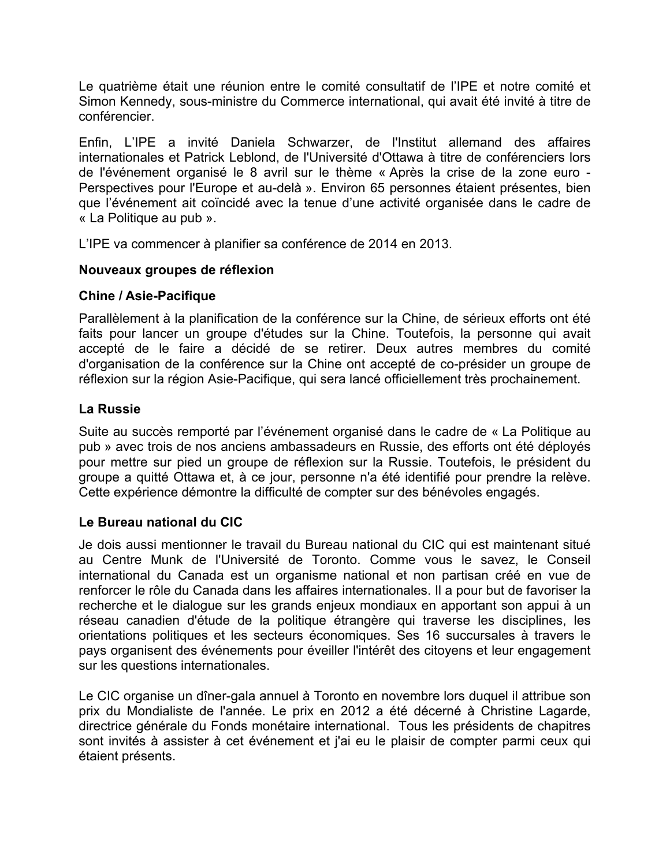Le quatrième était une réunion entre le comité consultatif de l'IPE et notre comité et Simon Kennedy, sous-ministre du Commerce international, qui avait été invité à titre de conférencier.

Enfin, L'IPE a invité Daniela Schwarzer, de l'Institut allemand des affaires internationales et Patrick Leblond, de l'Université d'Ottawa à titre de conférenciers lors de l'événement organisé le 8 avril sur le thème « Après la crise de la zone euro - Perspectives pour l'Europe et au-delà ». Environ 65 personnes étaient présentes, bien que l'événement ait coïncidé avec la tenue d'une activité organisée dans le cadre de « La Politique au pub ».

L'IPE va commencer à planifier sa conférence de 2014 en 2013.

# **Nouveaux groupes de réflexion**

# **Chine / Asie-Pacifique**

Parallèlement à la planification de la conférence sur la Chine, de sérieux efforts ont été faits pour lancer un groupe d'études sur la Chine. Toutefois, la personne qui avait accepté de le faire a décidé de se retirer. Deux autres membres du comité d'organisation de la conférence sur la Chine ont accepté de co-présider un groupe de réflexion sur la région Asie-Pacifique, qui sera lancé officiellement très prochainement.

# **La Russie**

Suite au succès remporté par l'événement organisé dans le cadre de « La Politique au pub » avec trois de nos anciens ambassadeurs en Russie, des efforts ont été déployés pour mettre sur pied un groupe de réflexion sur la Russie. Toutefois, le président du groupe a quitté Ottawa et, à ce jour, personne n'a été identifié pour prendre la relève. Cette expérience démontre la difficulté de compter sur des bénévoles engagés.

# **Le Bureau national du CIC**

Je dois aussi mentionner le travail du Bureau national du CIC qui est maintenant situé au Centre Munk de l'Université de Toronto. Comme vous le savez, le Conseil international du Canada est un organisme national et non partisan créé en vue de renforcer le rôle du Canada dans les affaires internationales. Il a pour but de favoriser la recherche et le dialogue sur les grands enjeux mondiaux en apportant son appui à un réseau canadien d'étude de la politique étrangère qui traverse les disciplines, les orientations politiques et les secteurs économiques. Ses 16 succursales à travers le pays organisent des événements pour éveiller l'intérêt des citoyens et leur engagement sur les questions internationales.

Le CIC organise un dîner-gala annuel à Toronto en novembre lors duquel il attribue son prix du Mondialiste de l'année. Le prix en 2012 a été décerné à Christine Lagarde, directrice générale du Fonds monétaire international. Tous les présidents de chapitres sont invités à assister à cet événement et j'ai eu le plaisir de compter parmi ceux qui étaient présents.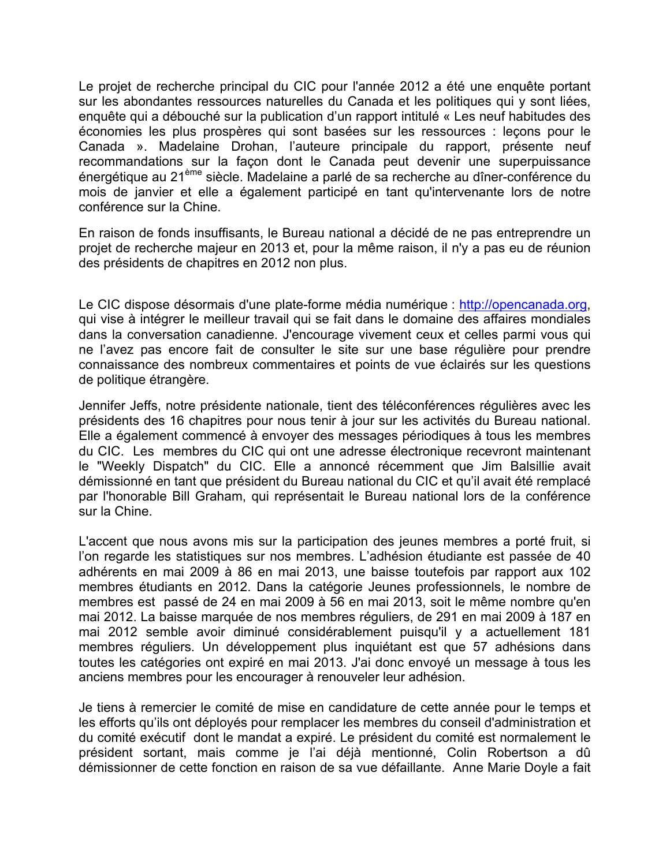Le projet de recherche principal du CIC pour l'année 2012 a été une enquête portant sur les abondantes ressources naturelles du Canada et les politiques qui y sont liées, enquête qui a débouché sur la publication d'un rapport intitulé « Les neuf habitudes des économies les plus prospères qui sont basées sur les ressources : leçons pour le Canada ». Madelaine Drohan, l'auteure principale du rapport, présente neuf recommandations sur la façon dont le Canada peut devenir une superpuissance énergétique au 21ème siècle. Madelaine a parlé de sa recherche au dîner-conférence du mois de janvier et elle a également participé en tant qu'intervenante lors de notre conférence sur la Chine.

En raison de fonds insuffisants, le Bureau national a décidé de ne pas entreprendre un projet de recherche majeur en 2013 et, pour la même raison, il n'y a pas eu de réunion des présidents de chapitres en 2012 non plus.

Le CIC dispose désormais d'une plate-forme média numérique : http://opencanada.org, qui vise à intégrer le meilleur travail qui se fait dans le domaine des affaires mondiales dans la conversation canadienne. J'encourage vivement ceux et celles parmi vous qui ne l'avez pas encore fait de consulter le site sur une base régulière pour prendre connaissance des nombreux commentaires et points de vue éclairés sur les questions de politique étrangère.

Jennifer Jeffs, notre présidente nationale, tient des téléconférences régulières avec les présidents des 16 chapitres pour nous tenir à jour sur les activités du Bureau national. Elle a également commencé à envoyer des messages périodiques à tous les membres du CIC. Les membres du CIC qui ont une adresse électronique recevront maintenant le "Weekly Dispatch" du CIC. Elle a annoncé récemment que Jim Balsillie avait démissionné en tant que président du Bureau national du CIC et qu'il avait été remplacé par l'honorable Bill Graham, qui représentait le Bureau national lors de la conférence sur la Chine.

L'accent que nous avons mis sur la participation des jeunes membres a porté fruit, si l'on regarde les statistiques sur nos membres. L'adhésion étudiante est passée de 40 adhérents en mai 2009 à 86 en mai 2013, une baisse toutefois par rapport aux 102 membres étudiants en 2012. Dans la catégorie Jeunes professionnels, le nombre de membres est passé de 24 en mai 2009 à 56 en mai 2013, soit le même nombre qu'en mai 2012. La baisse marquée de nos membres réguliers, de 291 en mai 2009 à 187 en mai 2012 semble avoir diminué considérablement puisqu'il y a actuellement 181 membres réguliers. Un développement plus inquiétant est que 57 adhésions dans toutes les catégories ont expiré en mai 2013. J'ai donc envoyé un message à tous les anciens membres pour les encourager à renouveler leur adhésion.

Je tiens à remercier le comité de mise en candidature de cette année pour le temps et les efforts qu'ils ont déployés pour remplacer les membres du conseil d'administration et du comité exécutif dont le mandat a expiré. Le président du comité est normalement le président sortant, mais comme je l'ai déjà mentionné, Colin Robertson a dû démissionner de cette fonction en raison de sa vue défaillante. Anne Marie Doyle a fait